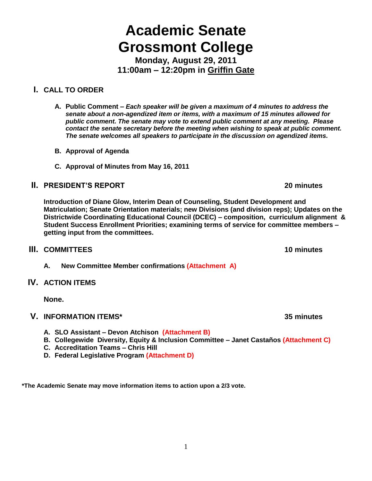# **Academic Senate Grossmont College**

**Monday, August 29, 2011 11:00am – 12:20pm in Griffin Gate**

# **I. CALL TO ORDER**

- **A. Public Comment –** *Each speaker will be given a maximum of 4 minutes to address the senate about a non-agendized item or items, with a maximum of 15 minutes allowed for public comment. The senate may vote to extend public comment at any meeting. Please contact the senate secretary before the meeting when wishing to speak at public comment. The senate welcomes all speakers to participate in the discussion on agendized items.*
- **B. Approval of Agenda**
- **C. Approval of Minutes from May 16, 2011**

# **II. PRESIDENT'S REPORT 20 minutes**

**Introduction of Diane Glow, Interim Dean of Counseling, Student Development and Matriculation; Senate Orientation materials; new Divisions (and division reps); Updates on the Districtwide Coordinating Educational Council (DCEC) – composition, curriculum alignment & Student Success Enrollment Priorities; examining terms of service for committee members – getting input from the committees.**

# **III. COMMITTEES 10 minutes**

**A. New Committee Member confirmations (Attachment A)**

# **IV. ACTION ITEMS**

**None.**

# **V. INFORMATION ITEMS\* 35 minutes**

- **A. SLO Assistant – Devon Atchison (Attachment B)**
- **B. Collegewide Diversity, Equity & Inclusion Committee – Janet Castaños (Attachment C)**
- **C. Accreditation Teams – Chris Hill**
- **D. Federal Legislative Program (Attachment D)**

**\*The Academic Senate may move information items to action upon a 2/3 vote.**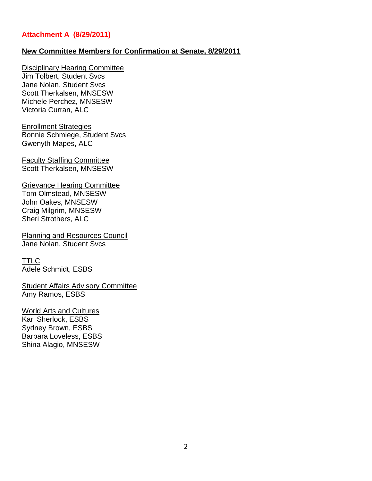#### **Attachment A (8/29/2011)**

#### **New Committee Members for Confirmation at Senate, 8/29/2011**

Disciplinary Hearing Committee Jim Tolbert, Student Svcs Jane Nolan, Student Svcs Scott Therkalsen, MNSESW Michele Perchez, MNSESW Victoria Curran, ALC

Enrollment Strategies Bonnie Schmiege, Student Svcs Gwenyth Mapes, ALC

Faculty Staffing Committee Scott Therkalsen, MNSESW

Grievance Hearing Committee Tom Olmstead, MNSESW John Oakes, MNSESW Craig Milgrim, MNSESW Sheri Strothers, ALC

Planning and Resources Council Jane Nolan, Student Svcs

TTLC Adele Schmidt, ESBS

Student Affairs Advisory Committee Amy Ramos, ESBS

World Arts and Cultures Karl Sherlock, ESBS Sydney Brown, ESBS Barbara Loveless, ESBS Shina Alagio, MNSESW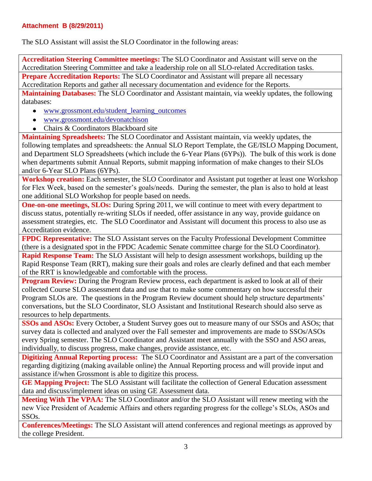# **Attachment B (8/29/2011)**

The SLO Assistant will assist the SLO Coordinator in the following areas:

**Accreditation Steering Committee meetings:** The SLO Coordinator and Assistant will serve on the Accreditation Steering Committee and take a leadership role on all SLO-related Accreditation tasks. **Prepare Accreditation Reports:** The SLO Coordinator and Assistant will prepare all necessary

Accreditation Reports and gather all necessary documentation and evidence for the Reports.

**Maintaining Databases:** The SLO Coordinator and Assistant maintain, via weekly updates, the following databases:

- [www.grossmont.edu/student\\_learning\\_outcomes](http://www.grossmont.edu/student_learning_outcomes)  $\bullet$
- [www.grossmont.edu/devonatchison](http://www.grossmont.edu/devonatchison)  $\bullet$
- Chairs & Coordinators Blackboard site

**Maintaining Spreadsheets:** The SLO Coordinator and Assistant maintain, via weekly updates, the following templates and spreadsheets: the Annual SLO Report Template, the GE/ISLO Mapping Document, and Department SLO Spreadsheets (which include the 6-Year Plans (6YPs)). The bulk of this work is done when departments submit Annual Reports, submit mapping information of make changes to their SLOs and/or 6-Year SLO Plans (6YPs).

**Workshop creation:** Each semester, the SLO Coordinator and Assistant put together at least one Workshop for Flex Week, based on the semester's goals/needs. During the semester, the plan is also to hold at least one additional SLO Workshop for people based on needs.

**One-on-one meetings, SLOs:** During Spring 2011, we will continue to meet with every department to discuss status, potentially re-writing SLOs if needed, offer assistance in any way, provide guidance on assessment strategies, etc. The SLO Coordinator and Assistant will document this process to also use as Accreditation evidence.

**FPDC Representative:** The SLO Assistant serves on the Faculty Professional Development Committee (there is a designated spot in the FPDC Academic Senate committee charge for the SLO Coordinator).

**Rapid Response Team:** The SLO Assistant will help to design assessment workshops, building up the Rapid Response Team (RRT), making sure their goals and roles are clearly defined and that each member of the RRT is knowledgeable and comfortable with the process.

**Program Review:** During the Program Review process, each department is asked to look at all of their collected Course SLO assessment data and use that to make some commentary on how successful their Program SLOs are. The questions in the Program Review document should help structure departments' conversations, but the SLO Coordinator, SLO Assistant and Institutional Research should also serve as resources to help departments.

**SSOs and ASOs:** Every October, a Student Survey goes out to measure many of our SSOs and ASOs; that survey data is collected and analyzed over the Fall semester and improvements are made to SSOs/ASOs every Spring semester. The SLO Coordinator and Assistant meet annually with the SSO and ASO areas, individually, to discuss progress, make changes, provide assistance, etc.

**Digitizing Annual Reporting process:** The SLO Coordinator and Assistant are a part of the conversation regarding digitizing (making available online) the Annual Reporting process and will provide input and assistance if/when Grossmont is able to digitize this process.

**GE Mapping Project:** The SLO Assistant will facilitate the collection of General Education assessment data and discuss/implement ideas on using GE Assessment data.

**Meeting With The VPAA:** The SLO Coordinator and/or the SLO Assistant will renew meeting with the new Vice President of Academic Affairs and others regarding progress for the college's SLOs, ASOs and SSOs.

**Conferences/Meetings:** The SLO Assistant will attend conferences and regional meetings as approved by the college President.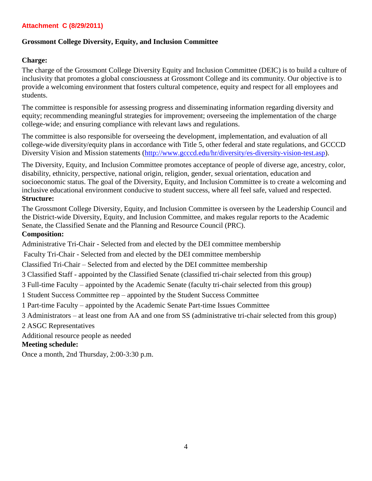#### **Attachment C (8/29/2011)**

#### **Grossmont College Diversity, Equity, and Inclusion Committee**

#### **Charge:**

The charge of the Grossmont College Diversity Equity and Inclusion Committee (DEIC) is to build a culture of inclusivity that promotes a global consciousness at Grossmont College and its community. Our objective is to provide a welcoming environment that fosters cultural competence, equity and respect for all employees and students.

The committee is responsible for assessing progress and disseminating information regarding diversity and equity; recommending meaningful strategies for improvement; overseeing the implementation of the charge college-wide; and ensuring compliance with relevant laws and regulations.

The committee is also responsible for overseeing the development, implementation, and evaluation of all college-wide diversity/equity plans in accordance with Title 5, other federal and state regulations, and GCCCD Diversity Vision and Mission statements [\(http://www.gcccd.edu/hr/diversity/es-diversity-vision-test.asp\)](http://www.gcccd.edu/hr/diversity/es-diversity-vision-test.asp).

The Diversity, Equity, and Inclusion Committee promotes acceptance of people of diverse age, ancestry, color, disability, ethnicity, perspective, national origin, religion, gender, sexual orientation, education and socioeconomic status. The goal of the Diversity, Equity, and Inclusion Committee is to create a welcoming and inclusive educational environment conducive to student success, where all feel safe, valued and respected. **Structure:**

The Grossmont College Diversity, Equity, and Inclusion Committee is overseen by the Leadership Council and the District-wide Diversity, Equity, and Inclusion Committee, and makes regular reports to the Academic Senate, the Classified Senate and the Planning and Resource Council (PRC).

#### **Composition:**

Administrative Tri-Chair - Selected from and elected by the DEI committee membership

Faculty Tri-Chair - Selected from and elected by the DEI committee membership

Classified Tri-Chair – Selected from and elected by the DEI committee membership

3 Classified Staff - appointed by the Classified Senate (classified tri-chair selected from this group)

3 Full-time Faculty – appointed by the Academic Senate (faculty tri-chair selected from this group)

1 Student Success Committee rep – appointed by the Student Success Committee

1 Part-time Faculty – appointed by the Academic Senate Part-time Issues Committee

3 Administrators – at least one from AA and one from SS (administrative tri-chair selected from this group)

2 ASGC Representatives

Additional resource people as needed

#### **Meeting schedule:**

Once a month, 2nd Thursday, 2:00-3:30 p.m.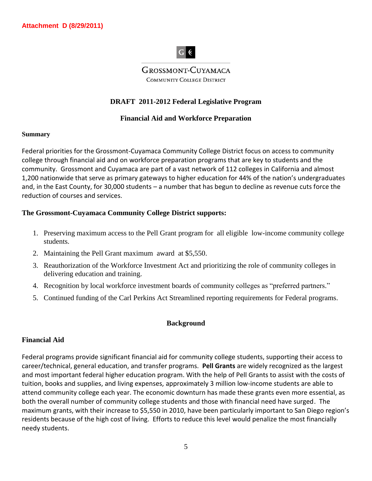# $|G ($

**GROSSMONT-CUYAMACA COMMUNITY COLLEGE DISTRICT** 

# **DRAFT 2011-2012 Federal Legislative Program**

#### **Financial Aid and Workforce Preparation**

#### **Summary**

Federal priorities for the Grossmont-Cuyamaca Community College District focus on access to community college through financial aid and on workforce preparation programs that are key to students and the community. Grossmont and Cuyamaca are part of a vast network of 112 colleges in California and almost 1,200 nationwide that serve as primary gateways to higher education for 44% of the nation's undergraduates and, in the East County, for 30,000 students – a number that has begun to decline as revenue cuts force the reduction of courses and services.

#### **The Grossmont-Cuyamaca Community College District supports:**

- 1. Preserving maximum access to the Pell Grant program for all eligible low-income community college students.
- 2. Maintaining the Pell Grant maximum award at \$5,550.
- 3. Reauthorization of the Workforce Investment Act and prioritizing the role of community colleges in delivering education and training.
- 4. Recognition by local workforce investment boards of community colleges as "preferred partners."
- 5. Continued funding of the Carl Perkins Act Streamlined reporting requirements for Federal programs.

#### **Background**

#### **Financial Aid**

Federal programs provide significant financial aid for community college students, supporting their access to career/technical, general education, and transfer programs. **Pell Grants** are widely recognized as the largest and most important federal higher education program. With the help of Pell Grants to assist with the costs of tuition, books and supplies, and living expenses, approximately 3 million low-income students are able to attend community college each year. The economic downturn has made these grants even more essential, as both the overall number of community college students and those with financial need have surged. The maximum grants, with their increase to \$5,550 in 2010, have been particularly important to San Diego region's residents because of the high cost of living. Efforts to reduce this level would penalize the most financially needy students.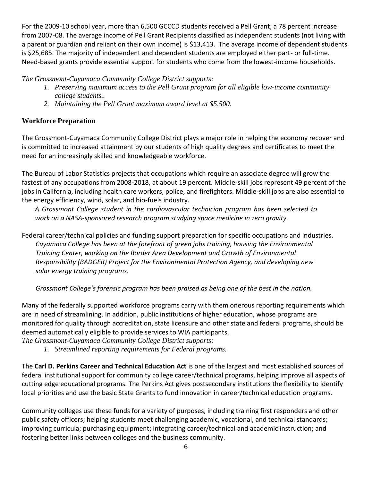For the 2009-10 school year, more than 6,500 GCCCD students received a Pell Grant, a 78 percent increase from 2007-08. The average income of Pell Grant Recipients classified as independent students (not living with a parent or guardian and reliant on their own income) is \$13,413. The average income of dependent students is \$25,685. The majority of independent and dependent students are employed either part- or full-time. Need-based grants provide essential support for students who come from the lowest-income households.

*The Grossmont-Cuyamaca Community College District supports:*

- *1. Preserving maximum access to the Pell Grant program for all eligible low-income community college students..*
- *2. Maintaining the Pell Grant maximum award level at \$5,500.*

# **Workforce Preparation**

The Grossmont-Cuyamaca Community College District plays a major role in helping the economy recover and is committed to increased attainment by our students of high quality degrees and certificates to meet the need for an increasingly skilled and knowledgeable workforce.

The Bureau of Labor Statistics projects that occupations which require an associate degree will grow the fastest of any occupations from 2008-2018, at about 19 percent. Middle-skill jobs represent 49 percent of the jobs in California, including health care workers, police, and firefighters. Middle-skill jobs are also essential to the energy efficiency, wind, solar, and bio-fuels industry.

*A Grossmont College student in the cardiovascular technician program has been selected to work on a NASA-sponsored research program studying space medicine in zero gravity.*

Federal career/technical policies and funding support preparation for specific occupations and industries. *Cuyamaca College has been at the forefront of green jobs training, housing the Environmental Training Center, working on the Border Area Development and Growth of Environmental Responsibility (BADGER) Project for the Environmental Protection Agency, and developing new solar energy training programs.*

*Grossmont College's forensic program has been praised as being one of the best in the nation.* 

Many of the federally supported workforce programs carry with them onerous reporting requirements which are in need of streamlining. In addition, public institutions of higher education, whose programs are monitored for quality through accreditation, state licensure and other state and federal programs, should be deemed automatically eligible to provide services to WIA participants.

*The Grossmont-Cuyamaca Community College District supports:*

*1. Streamlined reporting requirements for Federal programs.*

The **Carl D. Perkins Career and Technical Education Act** is one of the largest and most established sources of federal institutional support for community college career/technical programs, helping improve all aspects of cutting edge educational programs. The Perkins Act gives postsecondary institutions the flexibility to identify local priorities and use the basic State Grants to fund innovation in career/technical education programs.

Community colleges use these funds for a variety of purposes, including training first responders and other public safety officers; helping students meet challenging academic, vocational, and technical standards; improving curricula; purchasing equipment; integrating career/technical and academic instruction; and fostering better links between colleges and the business community.